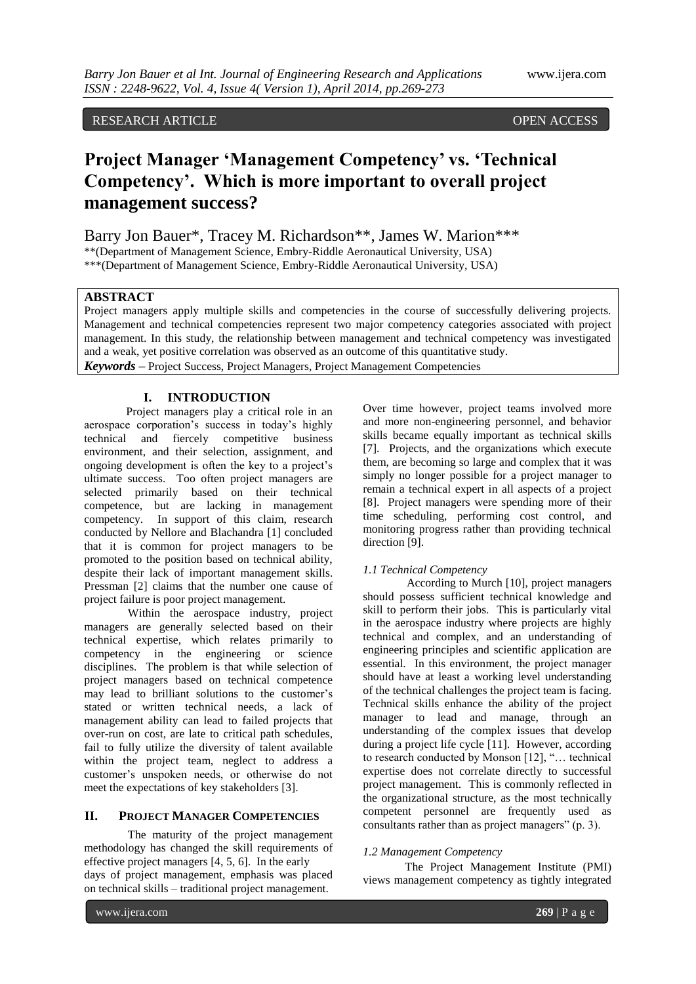# RESEARCH ARTICLE OPEN ACCESS

# **Project Manager 'Management Competency' vs. 'Technical Competency'. Which is more important to overall project management success?**

Barry Jon Bauer\*, Tracey M. Richardson\*\*, James W. Marion\*\*\* \*\*(Department of Management Science, Embry-Riddle Aeronautical University, USA) \*\*\*(Department of Management Science, Embry-Riddle Aeronautical University, USA)

# **ABSTRACT**

Project managers apply multiple skills and competencies in the course of successfully delivering projects. Management and technical competencies represent two major competency categories associated with project management. In this study, the relationship between management and technical competency was investigated and a weak, yet positive correlation was observed as an outcome of this quantitative study. *Keywords* **–** Project Success, Project Managers, Project Management Competencies

# **I. INTRODUCTION**

Project managers play a critical role in an aerospace corporation"s success in today"s highly technical and fiercely competitive business environment, and their selection, assignment, and ongoing development is often the key to a project's ultimate success. Too often project managers are selected primarily based on their technical competence, but are lacking in management competency. In support of this claim, research conducted by Nellore and Blachandra [1] concluded that it is common for project managers to be promoted to the position based on technical ability, despite their lack of important management skills. Pressman [2] claims that the number one cause of project failure is poor project management.

Within the aerospace industry, project managers are generally selected based on their technical expertise, which relates primarily to competency in the engineering or science disciplines. The problem is that while selection of project managers based on technical competence may lead to brilliant solutions to the customer"s stated or written technical needs, a lack of management ability can lead to failed projects that over-run on cost, are late to critical path schedules, fail to fully utilize the diversity of talent available within the project team, neglect to address a customer"s unspoken needs, or otherwise do not meet the expectations of key stakeholders [3].

# **II. PROJECT MANAGER COMPETENCIES**

The maturity of the project management methodology has changed the skill requirements of effective project managers [4, 5, 6]. In the early days of project management, emphasis was placed on technical skills – traditional project management.

Over time however, project teams involved more and more non-engineering personnel, and behavior skills became equally important as technical skills [7]. Projects, and the organizations which execute them, are becoming so large and complex that it was simply no longer possible for a project manager to remain a technical expert in all aspects of a project [8]. Project managers were spending more of their time scheduling, performing cost control, and monitoring progress rather than providing technical direction [9].

# *1.1 Technical Competency*

According to Murch [10], project managers should possess sufficient technical knowledge and skill to perform their jobs. This is particularly vital in the aerospace industry where projects are highly technical and complex, and an understanding of engineering principles and scientific application are essential. In this environment, the project manager should have at least a working level understanding of the technical challenges the project team is facing. Technical skills enhance the ability of the project manager to lead and manage, through an understanding of the complex issues that develop during a project life cycle [11]. However, according to research conducted by Monson [12], "… technical expertise does not correlate directly to successful project management. This is commonly reflected in the organizational structure, as the most technically competent personnel are frequently used as consultants rather than as project managers" (p. 3).

# *1.2 Management Competency*

The Project Management Institute (PMI) views management competency as tightly integrated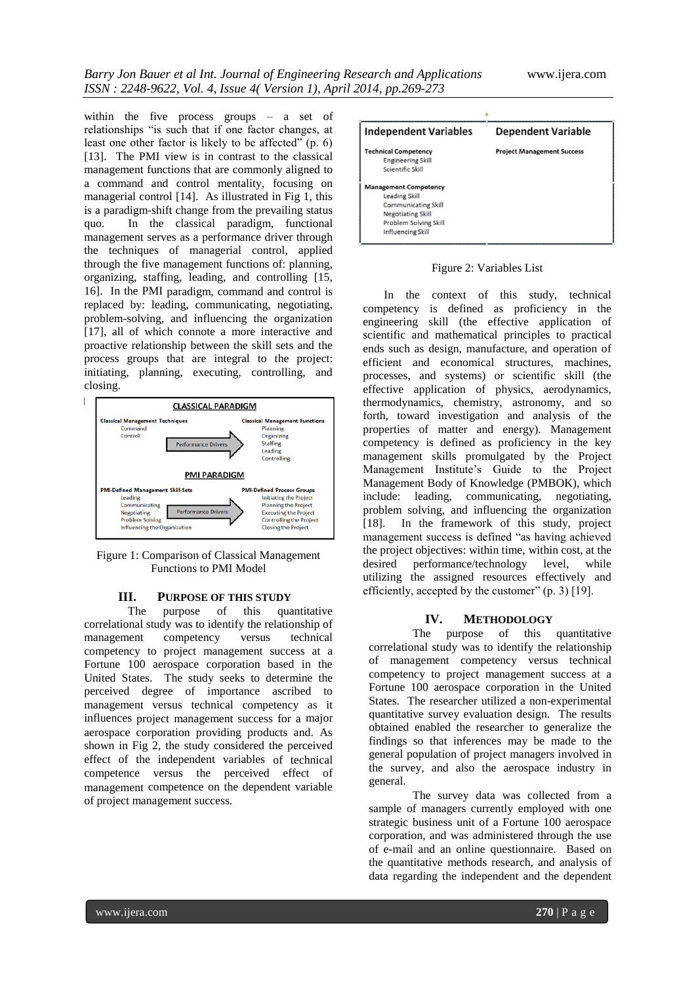within the five process groups – a set of relationships "is such that if one factor changes, at least one other factor is likely to be affected" (p. 6) [13]. The PMI view is in contrast to the classical management functions that are commonly aligned to a command and control mentality, focusing on managerial control [14]. As illustrated in Fig 1, this is a paradigm-shift change from the prevailing status quo. In the classical paradigm, functional management serves as a performance driver through the techniques of managerial control, applied through the five management functions of: planning, organizing, staffing, leading, and controlling [15, 16]. In the PMI paradigm, command and control is replaced by: leading, communicating, negotiating, problem-solving, and influencing the organization [17], all of which connote a more interactive and proactive relationship between the skill sets and the process groups that are integral to the project: initiating, planning, executing, controlling, and closing.



Figure 1: Comparison of Classical Management Functions to PMI Model

#### **III. PURPOSE OF THIS STUDY**

The purpose of this quantitative correlational study was to identify the relationship of management competency versus technical competency to project management success at a Fortune 100 aerospace corporation based in the United States. The study seeks to determine the perceived degree of importance ascribed to management versus technical competency as it influences project management success for a major aerospace corporation providing products and. As shown in Fig 2, the study considered the perceived effect of the independent variables of technical competence versus the perceived effect of management competence on the dependent variable of project management success.



Figure 2: Variables List

In the context of this study, technical competency is defined as proficiency in the engineering skill (the effective application of scientific and mathematical principles to practical ends such as design, manufacture, and operation of efficient and economical structures, machines, processes, and systems) or scientific skill (the effective application of physics, aerodynamics, thermodynamics, chemistry, astronomy, and so forth, toward investigation and analysis of the properties of matter and energy). Management competency is defined as proficiency in the key management skills promulgated by the Project Management Institute"s Guide to the Project Management Body of Knowledge (PMBOK), which include: leading, communicating, negotiating, problem solving, and influencing the organization [18]. In the framework of this study, project management success is defined "as having achieved the project objectives: within time, within cost, at the desired performance/technology level, while utilizing the assigned resources effectively and efficiently, accepted by the customer" (p. 3) [19].

#### **IV. METHODOLOGY**

The purpose of this quantitative correlational study was to identify the relationship of management competency versus technical competency to project management success at a Fortune 100 aerospace corporation in the United States. The researcher utilized a non-experimental quantitative survey evaluation design. The results obtained enabled the researcher to generalize the findings so that inferences may be made to the general population of project managers involved in the survey, and also the aerospace industry in general.

The survey data was collected from a sample of managers currently employed with one strategic business unit of a Fortune 100 aerospace corporation, and was administered through the use of e-mail and an online questionnaire. Based on the quantitative methods research, and analysis of data regarding the independent and the dependent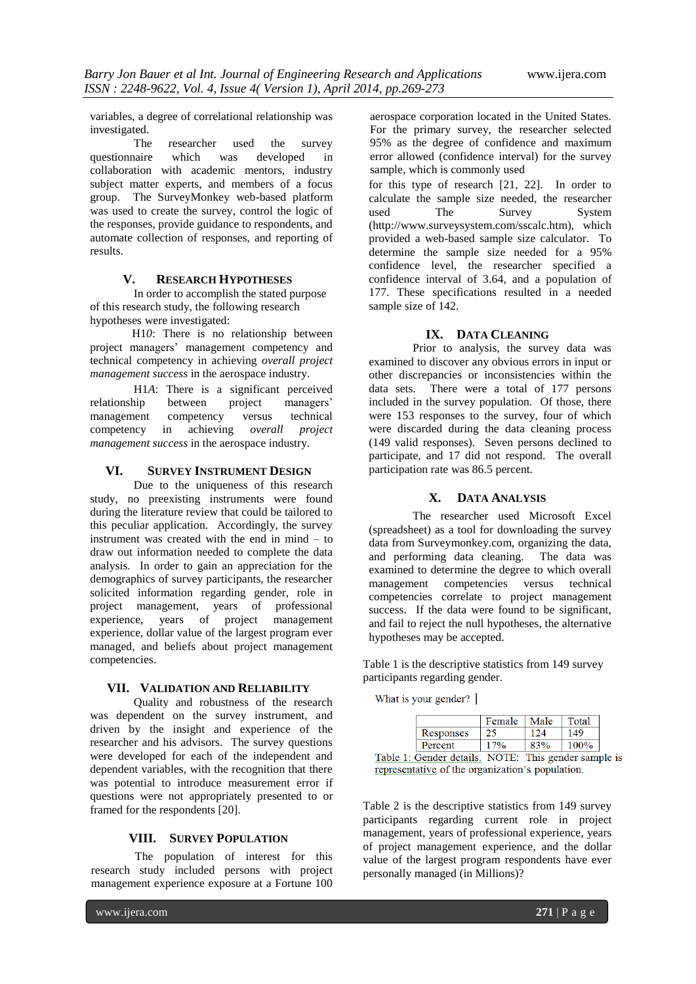variables, a degree of correlational relationship was investigated.

The researcher used the survey questionnaire which was developed in collaboration with academic mentors, industry subject matter experts, and members of a focus group. The SurveyMonkey web-based platform was used to create the survey, control the logic of the responses, provide guidance to respondents, and automate collection of responses, and reporting of results.

# **V. RESEARCH HYPOTHESES**

In order to accomplish the stated purpose of this research study, the following research hypotheses were investigated:

H1*0*: There is no relationship between project managers" management competency and technical competency in achieving *overall project management success* in the aerospace industry.

H1*A*: There is a significant perceived relationship between project managers'<br>management competency versus technical management competency versus competency in achieving *overall project management success* in the aerospace industry.

#### **VI. SURVEY INSTRUMENT DESIGN**

Due to the uniqueness of this research study, no preexisting instruments were found during the literature review that could be tailored to this peculiar application. Accordingly, the survey instrument was created with the end in mind – to draw out information needed to complete the data analysis. In order to gain an appreciation for the demographics of survey participants, the researcher solicited information regarding gender, role in project management, years of professional experience, years of project management experience, dollar value of the largest program ever managed, and beliefs about project management competencies.

# **VII. VALIDATION AND RELIABILITY**

Quality and robustness of the research was dependent on the survey instrument, and driven by the insight and experience of the researcher and his advisors. The survey questions were developed for each of the independent and dependent variables, with the recognition that there was potential to introduce measurement error if questions were not appropriately presented to or framed for the respondents [20].

# **VIII. SURVEY POPULATION**

The population of interest for this research study included persons with project management experience exposure at a Fortune 100

aerospace corporation located in the United States. For the primary survey, the researcher selected 95% as the degree of confidence and maximum error allowed (confidence interval) for the survey sample, which is commonly used

for this type of research [21, 22]. In order to calculate the sample size needed, the researcher used The Survey (http://www.surveysystem.com/sscalc.htm), which provided a web-based sample size calculator. To determine the sample size needed for a 95% confidence level, the researcher specified a confidence interval of 3.64, and a population of 177. These specifications resulted in a needed sample size of 142.

# **IX. DATA CLEANING**

Prior to analysis, the survey data was examined to discover any obvious errors in input or other discrepancies or inconsistencies within the data sets. There were a total of 177 persons included in the survey population. Of those, there were 153 responses to the survey, four of which were discarded during the data cleaning process (149 valid responses). Seven persons declined to participate, and 17 did not respond. The overall participation rate was 86.5 percent.

# **X. DATA ANALYSIS**

The researcher used Microsoft Excel (spreadsheet) as a tool for downloading the survey data from Surveymonkey.com, organizing the data, and performing data cleaning. The data was examined to determine the degree to which overall management competencies versus technical competencies correlate to project management success. If the data were found to be significant, and fail to reject the null hypotheses, the alternative hypotheses may be accepted.

Table 1 is the descriptive statistics from 149 survey participants regarding gender.

What is your gender?

|                                                             | Female | Male | Total |
|-------------------------------------------------------------|--------|------|-------|
| Responses                                                   |        |      | 149   |
| Percent                                                     |        |      | 100%  |
| $1:$ Candar datails $\blacksquare$ MOTE: This candar sample |        |      |       |

Table 1: Gender details. NOTE: This gender sample is representative of the organization's population.

Table 2 is the descriptive statistics from 149 survey participants regarding current role in project management, years of professional experience, years of project management experience, and the dollar value of the largest program respondents have ever personally managed (in Millions)?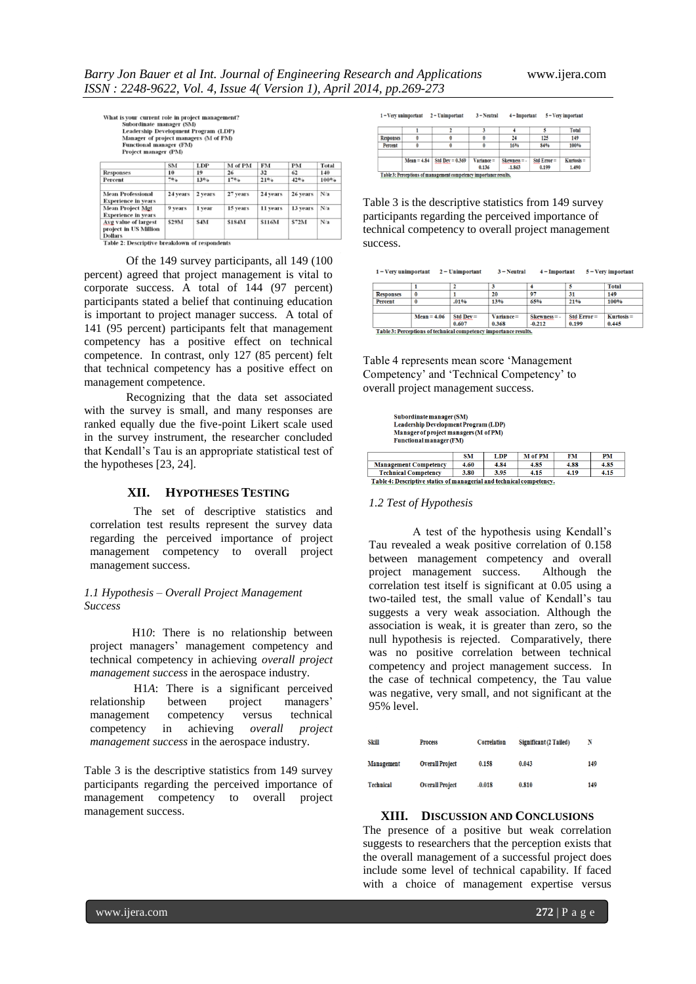PM 4.85

4.15

| What is your current role in project management?<br>Subordinate manager (SM)<br><b>Leadership Development Program (LDP)</b><br>Manager of project managers (M of PM)<br><b>Functional manager (FM)</b><br>Project manager (PM) |          |            |          |           |           |       |  |
|--------------------------------------------------------------------------------------------------------------------------------------------------------------------------------------------------------------------------------|----------|------------|----------|-----------|-----------|-------|--|
|                                                                                                                                                                                                                                | SM       | <b>LDP</b> | M of PM  | <b>FM</b> | <b>PM</b> | Total |  |
| <b>Responses</b>                                                                                                                                                                                                               | 10       | 19         | 26       | 32        | 62        | 140   |  |
| Percent                                                                                                                                                                                                                        | 7°       | $13\%$     | 17%      | 21%       | 42%       | 100%  |  |
| <b>Mean Professional</b><br><b>Experience in years</b>                                                                                                                                                                         | 24 years | 2 years    | 27 years | 24 years  | 26 years  | N/a   |  |
| <b>Mean Project Mgt</b><br><b>Experience in vears</b>                                                                                                                                                                          | 9 years  | 1 vear     | 15 years | 11 years  | 13 years  | N/a   |  |
| Avg value of largest                                                                                                                                                                                                           | \$29M    | \$4M       | \$184M   | \$116M    | \$72M     | N/a   |  |

project in US Million<br>
Dollars<br>
Table 2: Descriptive breakdown of respondents<br>
Of the 149 survey participants, all 149 (100 percent) agreed that project management is vital to corporate success. A total of 144 (97 percent) participants stated a belief that continuing education is important to project manager success. A total of 141 (95 percent) participants felt that management competency has a positive effect on technical competence. In contrast, only 127 (85 percent) felt that technical competency has a positive effect on management competence.

ect in US Million

Recognizing that the data set associated with the survey is small, and many responses are ranked equally due the five-point Likert scale used in the survey instrument, the researcher concluded that Kendall"s Tau is an appropriate statistical test of the hypotheses [23, 24].

#### **XII. HYPOTHESES TESTING**

The set of descriptive statistics and correlation test results represent the survey data regarding the perceived importance of project management competency to overall project management success.

# *1.1 Hypothesis – Overall Project Management Success*

H1*0*: There is no relationship between project managers" management competency and technical competency in achieving *overall project management success* in the aerospace industry.

H1*A*: There is a significant perceived relationship between project managers" management competency versus technical competency in achieving *overall project management success* in the aerospace industry.

Table 3 is the descriptive statistics from 149 survey participants regarding the perceived importance of management competency to overall project management success.

| $1 = V$ erv unimportant |               | 2 = Unimportant   | $3 =$ Neutral   | $4 =$ Important |               | $5 = V$ erv important |
|-------------------------|---------------|-------------------|-----------------|-----------------|---------------|-----------------------|
|                         |               |                   |                 |                 |               | <b>Total</b>          |
| <b>Responses</b>        |               |                   |                 | 24              | 125           | 149                   |
| Percent                 |               |                   |                 | 16%             | 84%           | 100%                  |
|                         |               |                   |                 |                 |               |                       |
|                         | $Mean = 4.84$ | Std Dev = $0.369$ | $V$ ariance $=$ | $Skewness = -$  | Std $Error =$ | $Kurtosis =$          |
|                         |               |                   | 0.136           | $-1.863$        | 0.199         | 1.490                 |

Table 3: Perceptions of management competency importance results

Table 3 is the descriptive statistics from 149 survey participants regarding the perceived importance of technical competency to overall project management success.

| $1 =$ Very unimportant |               | $2 =$ Unimportant | $3 =$ Neutral | $4 =$ Important |            | $5 = V$ ery important |
|------------------------|---------------|-------------------|---------------|-----------------|------------|-----------------------|
|                        |               |                   |               |                 |            | <b>Total</b>          |
| <b>Responses</b>       | $\bf{0}$      |                   | 20            | 97              | 31         | 149                   |
| Percent                | $\bf{0}$      | .01%              | 13%           | 65%             | 21%        | 100%                  |
|                        |               |                   |               |                 |            |                       |
|                        | $Mean = 4.06$ | $Std Dev =$       | Variance=     | $Skewness = -$  | Std Error= | $Kurtosis =$          |
|                        |               | 0.607             | 0.368         | $-0.212$        | 0.199      | 0.445                 |

Table 3: Perceptions of technical competency importance results

Table 4 represents mean score "Management Competency" and "Technical Competency" to overall project management success.

| Suborumate manager (SM)<br><b>Leadership Development Program (LDP)</b><br>Manager of project managers (M of PM)<br><b>Functional manager (FM)</b> |           |            |                |      |  |
|---------------------------------------------------------------------------------------------------------------------------------------------------|-----------|------------|----------------|------|--|
|                                                                                                                                                   | <b>SM</b> | <b>LDP</b> | <b>M</b> of PM | FМ   |  |
| <b>Management Competency</b>                                                                                                                      | 4.60      | 4.84       | 4.85           | 4.88 |  |

#### **Technical Competency**  $3.80$   $3.95$  $-4.15$ Table 4: Descriptive statics of managerial and technical competency.

#### *1.2 Test of Hypothesis*

A test of the hypothesis using Kendall"s Tau revealed a weak positive correlation of 0.158 between management competency and overall project management success. Although the correlation test itself is significant at 0.05 using a two-tailed test, the small value of Kendall"s tau suggests a very weak association. Although the association is weak, it is greater than zero, so the null hypothesis is rejected. Comparatively, there was no positive correlation between technical competency and project management success. In the case of technical competency, the Tau value was negative, very small, and not significant at the 95% level.

| Skill      | <b>Process</b>         | Correlation | Significant (2 Tailed) | N   |
|------------|------------------------|-------------|------------------------|-----|
| Management | <b>Overall Project</b> | 0.158       | 0.043                  | 149 |
| Technical  | <b>Overall Project</b> | $-0.018$    | 0.810                  | 149 |

# **XIII. DISCUSSION AND CONCLUSIONS**

The presence of a positive but weak correlation suggests to researchers that the perception exists that the overall management of a successful project does include some level of technical capability. If faced with a choice of management expertise versus